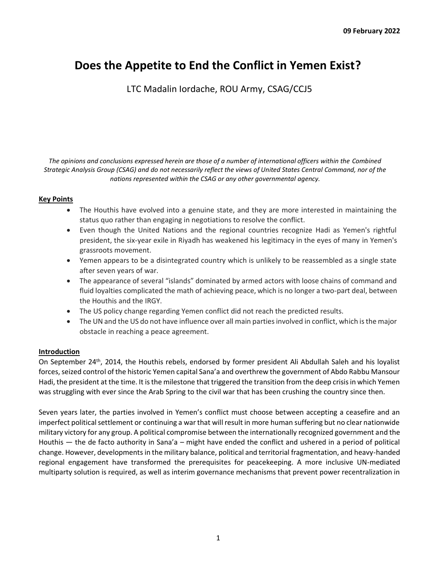# **Does the Appetite to End the Conflict in Yemen Exist?**

LTC Madalin Iordache, ROU Army, CSAG/CCJ5

*The opinions and conclusions expressed herein are those of a number of international officers within the Combined Strategic Analysis Group (CSAG) and do not necessarily reflect the views of United States Central Command, nor of the nations represented within the CSAG or any other governmental agency.*

## **Key Points**

- The Houthis have evolved into a genuine state, and they are more interested in maintaining the status quo rather than engaging in negotiations to resolve the conflict.
- Even though the United Nations and the regional countries recognize Hadi as Yemen's rightful president, the six-year exile in Riyadh has weakened his legitimacy in the eyes of many in Yemen's grassroots movement.
- Yemen appears to be a disintegrated country which is unlikely to be reassembled as a single state after seven years of war.
- The appearance of several "islands" dominated by armed actors with loose chains of command and fluid loyalties complicated the math of achieving peace, which is no longer a two-part deal, between the Houthis and the IRGY.
- The US policy change regarding Yemen conflict did not reach the predicted results.
- The UN and the US do not have influence over all main parties involved in conflict, which is the major obstacle in reaching a peace agreement.

## **Introduction**

On September 24<sup>th</sup>, 2014, the Houthis rebels, endorsed by former president Ali Abdullah Saleh and his loyalist forces, seized control of the historic Yemen capital Sana'a and overthrew the government of Abdo Rabbu Mansour Hadi, the president at the time. It is the milestone that triggered the transition from the deep crisis in which Yemen was struggling with ever since the Arab Spring to the civil war that has been crushing the country since then.

Seven years later, the parties involved in Yemen's conflict must choose between accepting a ceasefire and an imperfect political settlement or continuing a war that will result in more human suffering but no clear nationwide military victory for any group. A political compromise between the internationally recognized government and the Houthis — the de facto authority in Sana'a – might have ended the conflict and ushered in a period of political change. However, developments in the military balance, political and territorial fragmentation, and heavy-handed regional engagement have transformed the prerequisites for peacekeeping. A more inclusive UN-mediated multiparty solution is required, as well as interim governance mechanisms that prevent power recentralization in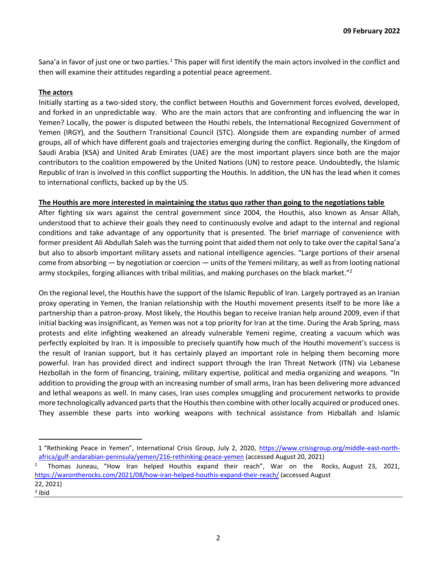Sana'a in favor of just one or two parties.<sup>1</sup> This paper will first identify the main actors involved in the conflict and then will examine their attitudes regarding a potential peace agreement.

## **The actors**

Initially starting as a two-sided story, the conflict between Houthis and Government forces evolved, developed, and forked in an unpredictable way. Who are the main actors that are confronting and influencing the war in Yemen? Locally, the power is disputed between the Houthi rebels, the International Recognized Government of Yemen (IRGY), and the Southern Transitional Council (STC). Alongside them are expanding number of armed groups, all of which have different goals and trajectories emerging during the conflict. Regionally, the Kingdom of Saudi Arabia (KSA) and United Arab Emirates (UAE) are the most important players since both are the major contributors to the coalition empowered by the United Nations (UN) to restore peace. Undoubtedly, the Islamic Republic of Iran is involved in this conflict supporting the Houthis. In addition, the UN has the lead when it comes to international conflicts, backed up by the US.

## **The Houthis are more interested in maintaining the status quo rather than going to the negotiations table**

After fighting six wars against the central government since 2004, the Houthis, also known as Ansar Allah, understood that to achieve their goals they need to continuously evolve and adapt to the internal and regional conditions and take advantage of any opportunity that is presented. The brief marriage of convenience with former president Ali Abdullah Saleh was the turning point that aided them not only to take over the capital Sana'a but also to absorb important military assets and national intelligence agencies. "Large portions of their arsenal come from absorbing — by negotiation or coercion — units of the Yemeni military, as well as from looting national army stockpiles, forging alliances with tribal militias, and making purchases on the black market."<sup>2</sup>

On the regional level, the Houthis have the support of the Islamic Republic of Iran. Largely portrayed as an Iranian proxy operating in Yemen, the Iranian relationship with the Houthi movement presents itself to be more like a partnership than a patron-proxy. Most likely, the Houthis began to receive Iranian help around 2009, even if that initial backing was insignificant, as Yemen was not a top priority for Iran at the time. During the Arab Spring, mass protests and elite infighting weakened an already vulnerable Yemeni regime, creating a vacuum which was perfectly exploited by Iran. It is impossible to precisely quantify how much of the Houthi movement's success is the result of Iranian support, but it has certainly played an important role in helping them becoming more powerful. Iran has provided direct and indirect support through the Iran Threat Network (ITN) via Lebanese Hezbollah in the form of financing, training, military expertise, political and media organizing and weapons. "In addition to providing the group with an increasing number of small arms, Iran has been delivering more advanced and lethal weapons as well. In many cases, Iran uses complex smuggling and procurement networks to provide more technologically advanced parts that the Houthis then combine with other locally acquired or produced ones. They assemble these parts into working weapons with technical assistance from Hizballah and Islamic

<sup>1</sup> "Rethinking Peace in Yemen", International Crisis Group, July 2, 2020, https://www.crisisgroup.org/middle-east-northafrica/gulf-andarabian-peninsula/yemen/216-rethinking-peace-yemen (accessed August 20, 2021)

<sup>&</sup>lt;sup>2</sup> Thomas Juneau, "How Iran helped Houthis expand their reach", War on the Rocks, August 23, 2021, https://warontherocks.com/2021/08/how-iran-helped-houthis-expand-their-reach/ (accessed August 22, 2021) <sup>3</sup> ibid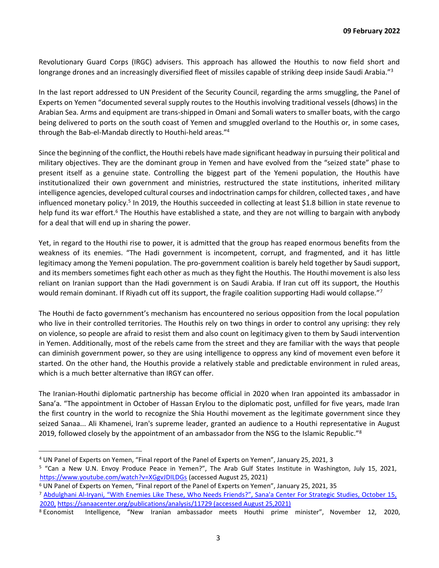Revolutionary Guard Corps (IRGC) advisers. This approach has allowed the Houthis to now field short and longrange drones and an increasingly diversified fleet of missiles capable of striking deep inside Saudi Arabia."<sup>3</sup>

In the last report addressed to UN President of the Security Council, regarding the arms smuggling, the Panel of Experts on Yemen "documented several supply routes to the Houthis involving traditional vessels (dhows) in the Arabian Sea. Arms and equipment are trans-shipped in Omani and Somali waters to smaller boats, with the cargo being delivered to ports on the south coast of Yemen and smuggled overland to the Houthis or, in some cases, through the Bab-el-Mandab directly to Houthi-held areas."<sup>4</sup>

Since the beginning of the conflict, the Houthi rebels have made significant headway in pursuing their political and military objectives. They are the dominant group in Yemen and have evolved from the "seized state" phase to present itself as a genuine state. Controlling the biggest part of the Yemeni population, the Houthis have institutionalized their own government and ministries, restructured the state institutions, inherited military intelligence agencies, developed cultural courses and indoctrination camps for children, collected taxes , and have influenced monetary policy.<sup>5</sup> In 2019, the Houthis succeeded in collecting at least \$1.8 billion in state revenue to help fund its war effort.<sup>6</sup> The Houthis have established a state, and they are not willing to bargain with anybody for a deal that will end up in sharing the power.

Yet, in regard to the Houthi rise to power, it is admitted that the group has reaped enormous benefits from the weakness of its enemies. "The Hadi government is incompetent, corrupt, and fragmented, and it has little legitimacy among the Yemeni population. The pro-government coalition is barely held together by Saudi support, and its members sometimes fight each other as much as they fight the Houthis. The Houthi movement is also less reliant on Iranian support than the Hadi government is on Saudi Arabia. If Iran cut off its support, the Houthis would remain dominant. If Riyadh cut off its support, the fragile coalition supporting Hadi would collapse."<sup>7</sup>

The Houthi de facto government's mechanism has encountered no serious opposition from the local population who live in their controlled territories. The Houthis rely on two things in order to control any uprising: they rely on violence, so people are afraid to resist them and also count on legitimacy given to them by Saudi intervention in Yemen. Additionally, most of the rebels came from the street and they are familiar with the ways that people can diminish government power, so they are using intelligence to oppress any kind of movement even before it started. On the other hand, the Houthis provide a relatively stable and predictable environment in ruled areas, which is a much better alternative than IRGY can offer.

The Iranian-Houthi diplomatic partnership has become official in 2020 when Iran appointed its ambassador in Sana'a. "The appointment in October of Hassan Erylou to the diplomatic post, unfilled for five years, made Iran the first country in the world to recognize the Shia Houthi movement as the legitimate government since they seized Sanaa... Ali Khamenei, Iran's supreme leader, granted an audience to a Houthi representative in August 2019, followed closely by the appointment of an ambassador from the NSG to the Islamic Republic."<sup>8</sup>

<sup>4</sup> UN Panel of Experts on Yemen, "Final report of the Panel of Experts on Yemen", January 25, 2021, 3

<sup>&</sup>lt;sup>5</sup> "Can a New U.N. Envoy Produce Peace in Yemen?", The Arab Gulf States Institute in Washington, July 15, 2021, https://www.youtube.com/watch?v=XGgvJDILDGs (accessed August 25, 2021)

<sup>6</sup> UN Panel of Experts on Yemen, "Final report of the Panel of Experts on Yemen", January 25, 2021, 35

<sup>7</sup> Abdulghani Al-Iryani, "With Enemies Like These, Who Needs Friends?", Sana'a Center For Strategic Studies, October 15, 2020, https://sanaacenter.org/publications/analysis/11729 (accessed August 25,2021)

<sup>&</sup>lt;sup>8</sup> Economist Intelligence, "New Iranian ambassador meets Houthi prime minister", November 12, 2020,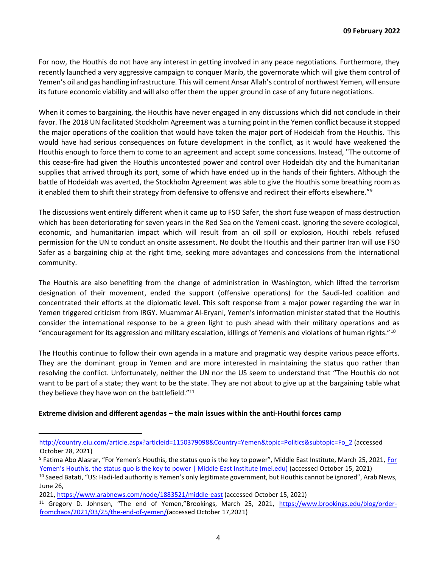For now, the Houthis do not have any interest in getting involved in any peace negotiations. Furthermore, they recently launched a very aggressive campaign to conquer Marib, the governorate which will give them control of Yemen's oil and gas handling infrastructure. This will cement Ansar Allah's control of northwest Yemen, will ensure its future economic viability and will also offer them the upper ground in case of any future negotiations.

When it comes to bargaining, the Houthis have never engaged in any discussions which did not conclude in their favor. The 2018 UN facilitated Stockholm Agreement was a turning point in the Yemen conflict because it stopped the major operations of the coalition that would have taken the major port of Hodeidah from the Houthis. This would have had serious consequences on future development in the conflict, as it would have weakened the Houthis enough to force them to come to an agreement and accept some concessions. Instead, "The outcome of this cease-fire had given the Houthis uncontested power and control over Hodeidah city and the humanitarian supplies that arrived through its port, some of which have ended up in the hands of their fighters. Although the battle of Hodeidah was averted, the Stockholm Agreement was able to give the Houthis some breathing room as it enabled them to shift their strategy from defensive to offensive and redirect their efforts elsewhere."<sup>9</sup>

The discussions went entirely different when it came up to FSO Safer, the short fuse weapon of mass destruction which has been deteriorating for seven years in the Red Sea on the Yemeni coast. Ignoring the severe ecological, economic, and humanitarian impact which will result from an oil spill or explosion, Houthi rebels refused permission for the UN to conduct an onsite assessment. No doubt the Houthis and their partner Iran will use FSO Safer as a bargaining chip at the right time, seeking more advantages and concessions from the international community.

The Houthis are also benefiting from the change of administration in Washington, which lifted the terrorism designation of their movement, ended the support (offensive operations) for the Saudi-led coalition and concentrated their efforts at the diplomatic level. This soft response from a major power regarding the war in Yemen triggered criticism from IRGY. Muammar Al-Eryani, Yemen's information minister stated that the Houthis consider the international response to be a green light to push ahead with their military operations and as "encouragement for its aggression and military escalation, killings of Yemenis and violations of human rights." $^{10}$ 

The Houthis continue to follow their own agenda in a mature and pragmatic way despite various peace efforts. They are the dominant group in Yemen and are more interested in maintaining the status quo rather than resolving the conflict. Unfortunately, neither the UN nor the US seem to understand that "The Houthis do not want to be part of a state; they want to be the state. They are not about to give up at the bargaining table what they believe they have won on the battlefield."<sup>11</sup>

#### **Extreme division and different agendas – the main issues within the anti-Houthi forces camp**

http://country.eiu.com/article.aspx?articleid=1150379098&Country=Yemen&topic=Politics&subtopic=Fo\_2 (accessed October 28, 2021)

<sup>&</sup>lt;sup>9</sup> Fatima Abo Alasrar, "For Yemen's Houthis, the status quo is the key to power", Middle East Institute, March 25, 2021, For Yemen's Houthis, the status quo is the key to power | Middle East Institute (mei.edu) (accessed October 15, 2021)

<sup>&</sup>lt;sup>10</sup> Saeed Batati, "US: Hadi-led authority is Yemen's only legitimate government, but Houthis cannot be ignored", Arab News, June 26,

<sup>2021,</sup> https://www.arabnews.com/node/1883521/middle-east (accessed October 15, 2021)

<sup>&</sup>lt;sup>11</sup> Gregory D. Johnsen, "The end of Yemen,"Brookings, March 25, 2021, https://www.brookings.edu/blog/orderfromchaos/2021/03/25/the-end-of-yemen/(accessed October 17,2021)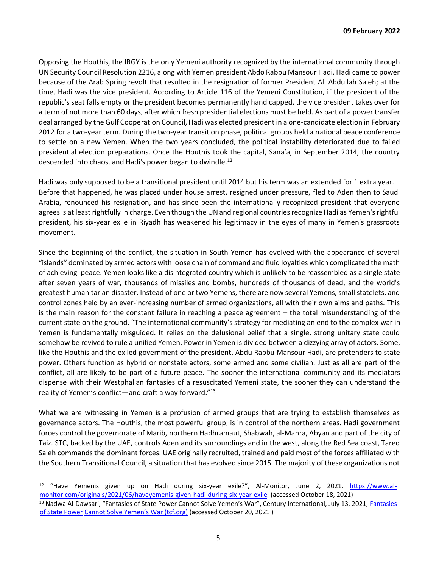Opposing the Houthis, the IRGY is the only Yemeni authority recognized by the international community through UN Security Council Resolution 2216, along with Yemen president Abdo Rabbu Mansour Hadi. Hadi came to power because of the Arab Spring revolt that resulted in the resignation of former President Ali Abdullah Saleh; at the time, Hadi was the vice president. According to Article 116 of the Yemeni Constitution, if the president of the republic's seat falls empty or the president becomes permanently handicapped, the vice president takes over for a term of not more than 60 days, after which fresh presidential elections must be held. As part of a power transfer deal arranged by the Gulf Cooperation Council, Hadi was elected president in a one-candidate election in February 2012 for a two-year term. During the two-year transition phase, political groups held a national peace conference to settle on a new Yemen. When the two years concluded, the political instability deteriorated due to failed presidential election preparations. Once the Houthis took the capital, Sana'a, in September 2014, the country descended into chaos, and Hadi's power began to dwindle.<sup>12</sup>

Hadi was only supposed to be a transitional president until 2014 but his term was an extended for 1 extra year. Before that happened, he was placed under house arrest, resigned under pressure, fled to Aden then to Saudi Arabia, renounced his resignation, and has since been the internationally recognized president that everyone agrees is at least rightfully in charge. Even though the UN and regional countries recognize Hadi as Yemen's rightful president, his six-year exile in Riyadh has weakened his legitimacy in the eyes of many in Yemen's grassroots movement.

Since the beginning of the conflict, the situation in South Yemen has evolved with the appearance of several "islands" dominated by armed actors with loose chain of command and fluid loyalties which complicated the math of achieving peace. Yemen looks like a disintegrated country which is unlikely to be reassembled as a single state after seven years of war, thousands of missiles and bombs, hundreds of thousands of dead, and the world's greatest humanitarian disaster. Instead of one or two Yemens, there are now several Yemens, small statelets, and control zones held by an ever-increasing number of armed organizations, all with their own aims and paths. This is the main reason for the constant failure in reaching a peace agreement – the total misunderstanding of the current state on the ground. "The international community's strategy for mediating an end to the complex war in Yemen is fundamentally misguided. It relies on the delusional belief that a single, strong unitary state could somehow be revived to rule a unified Yemen. Power in Yemen is divided between a dizzying array of actors. Some, like the Houthis and the exiled government of the president, Abdu Rabbu Mansour Hadi, are pretenders to state power. Others function as hybrid or nonstate actors, some armed and some civilian. Just as all are part of the conflict, all are likely to be part of a future peace. The sooner the international community and its mediators dispense with their Westphalian fantasies of a resuscitated Yemeni state, the sooner they can understand the reality of Yemen's conflict—and craft a way forward."<sup>13</sup>

What we are witnessing in Yemen is a profusion of armed groups that are trying to establish themselves as governance actors. The Houthis, the most powerful group, is in control of the northern areas. Hadi government forces control the governorate of Marib, northern Hadhramaut, Shabwah, al-Mahra, Abyan and part of the city of Taiz. STC, backed by the UAE, controls Aden and its surroundings and in the west, along the Red Sea coast, Tareq Saleh commands the dominant forces. UAE originally recruited, trained and paid most of the forces affiliated with the Southern Transitional Council, a situation that has evolved since 2015. The majority of these organizations not

<sup>12</sup> "Have Yemenis given up on Hadi during six-year exile?", Al-Monitor, June 2, 2021, https://www.almonitor.com/originals/2021/06/haveyemenis-given-hadi-during-six-year-exile (accessed October 18, 2021)

<sup>&</sup>lt;sup>13</sup> Nadwa Al-Dawsari, "Fantasies of State Power Cannot Solve Yemen's War", Century International, July 13, 2021, Fantasies of State Power Cannot Solve Yemen's War (tcf.org) (accessed October 20, 2021 )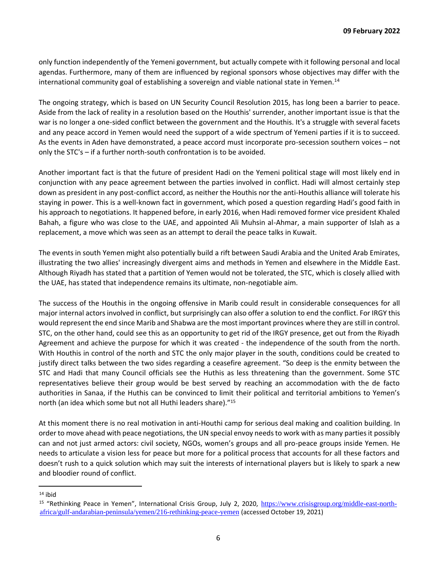only function independently of the Yemeni government, but actually compete with it following personal and local agendas. Furthermore, many of them are influenced by regional sponsors whose objectives may differ with the international community goal of establishing a sovereign and viable national state in Yemen.<sup>14</sup>

The ongoing strategy, which is based on UN Security Council Resolution 2015, has long been a barrier to peace. Aside from the lack of reality in a resolution based on the Houthis' surrender, another important issue is that the war is no longer a one-sided conflict between the government and the Houthis. It's a struggle with several facets and any peace accord in Yemen would need the support of a wide spectrum of Yemeni parties if it is to succeed. As the events in Aden have demonstrated, a peace accord must incorporate pro-secession southern voices – not only the STC's – if a further north-south confrontation is to be avoided.

Another important fact is that the future of president Hadi on the Yemeni political stage will most likely end in conjunction with any peace agreement between the parties involved in conflict. Hadi will almost certainly step down as president in any post-conflict accord, as neither the Houthis nor the anti-Houthis alliance will tolerate his staying in power. This is a well-known fact in government, which posed a question regarding Hadi's good faith in his approach to negotiations. It happened before, in early 2016, when Hadi removed former vice president Khaled Bahah, a figure who was close to the UAE, and appointed Ali Muhsin al-Ahmar, a main supporter of Islah as a replacement, a move which was seen as an attempt to derail the peace talks in Kuwait.

The events in south Yemen might also potentially build a rift between Saudi Arabia and the United Arab Emirates, illustrating the two allies' increasingly divergent aims and methods in Yemen and elsewhere in the Middle East. Although Riyadh has stated that a partition of Yemen would not be tolerated, the STC, which is closely allied with the UAE, has stated that independence remains its ultimate, non-negotiable aim.

The success of the Houthis in the ongoing offensive in Marib could result in considerable consequences for all major internal actors involved in conflict, but surprisingly can also offer a solution to end the conflict. For IRGY this would represent the end since Marib and Shabwa are the most important provinces where they are still in control. STC, on the other hand, could see this as an opportunity to get rid of the IRGY presence, get out from the Riyadh Agreement and achieve the purpose for which it was created - the independence of the south from the north. With Houthis in control of the north and STC the only major player in the south, conditions could be created to justify direct talks between the two sides regarding a ceasefire agreement. "So deep is the enmity between the STC and Hadi that many Council officials see the Huthis as less threatening than the government. Some STC representatives believe their group would be best served by reaching an accommodation with the de facto authorities in Sanaa, if the Huthis can be convinced to limit their political and territorial ambitions to Yemen's north (an idea which some but not all Huthi leaders share)."<sup>15</sup>

At this moment there is no real motivation in anti-Houthi camp for serious deal making and coalition building. In order to move ahead with peace negotiations, the UN special envoy needs to work with as many parties it possibly can and not just armed actors: civil society, NGOs, women's groups and all pro-peace groups inside Yemen. He needs to articulate a vision less for peace but more for a political process that accounts for all these factors and doesn't rush to a quick solution which may suit the interests of international players but is likely to spark a new and bloodier round of conflict.

 $14$  ibid

<sup>&</sup>lt;sup>15</sup> "Rethinking Peace in Yemen", International Crisis Group, July 2, 2020, https://www.crisisgroup.org/middle-east-northafrica/gulf-andarabian-peninsula/yemen/216-rethinking-peace-yemen (accessed October 19, 2021)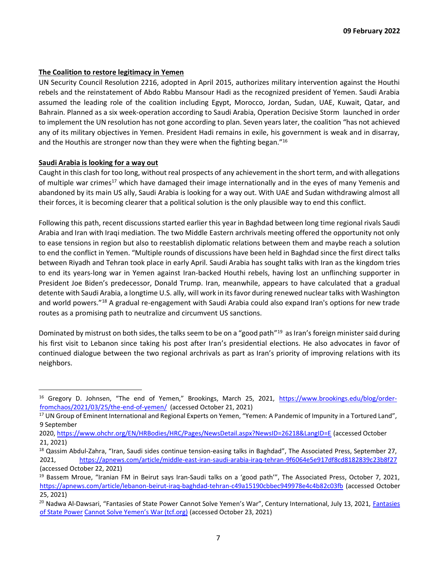#### **The Coalition to restore legitimacy in Yemen**

UN Security Council Resolution 2216, adopted in April 2015, authorizes military intervention against the Houthi rebels and the reinstatement of Abdo Rabbu Mansour Hadi as the recognized president of Yemen. Saudi Arabia assumed the leading role of the coalition including Egypt, Morocco, Jordan, Sudan, UAE, Kuwait, Qatar, and Bahrain. Planned as a six week-operation according to Saudi Arabia, Operation Decisive Storm launched in order to implement the UN resolution has not gone according to plan. Seven years later, the coalition "has not achieved any of its military objectives in Yemen. President Hadi remains in exile, his government is weak and in disarray, and the Houthis are stronger now than they were when the fighting began."<sup>16</sup>

#### **Saudi Arabia is looking for a way out**

Caught in this clash for too long, without real prospects of any achievement in the short term, and with allegations of multiple war crimes<sup>17</sup> which have damaged their image internationally and in the eyes of many Yemenis and abandoned by its main US ally, Saudi Arabia is looking for a way out. With UAE and Sudan withdrawing almost all their forces, it is becoming clearer that a political solution is the only plausible way to end this conflict.

Following this path, recent discussions started earlier this year in Baghdad between long time regional rivals Saudi Arabia and Iran with Iraqi mediation. The two Middle Eastern archrivals meeting offered the opportunity not only to ease tensions in region but also to reestablish diplomatic relations between them and maybe reach a solution to end the conflict in Yemen. "Multiple rounds of discussions have been held in Baghdad since the first direct talks between Riyadh and Tehran took place in early April. Saudi Arabia has sought talks with Iran as the kingdom tries to end its years-long war in Yemen against Iran-backed Houthi rebels, having lost an unflinching supporter in President Joe Biden's predecessor, Donald Trump. Iran, meanwhile, appears to have calculated that a gradual detente with Saudi Arabia, a longtime U.S. ally, will work in its favor during renewed nuclear talks with Washington and world powers."<sup>18</sup> A gradual re-engagement with Saudi Arabia could also expand Iran's options for new trade routes as a promising path to neutralize and circumvent US sanctions.

Dominated by mistrust on both sides, the talks seem to be on a "good path"<sup>19</sup> as Iran's foreign minister said during his first visit to Lebanon since taking his post after Iran's presidential elections. He also advocates in favor of continued dialogue between the two regional archrivals as part as Iran's priority of improving relations with its neighbors.

<sup>&</sup>lt;sup>16</sup> Gregory D. Johnsen, "The end of Yemen," Brookings, March 25, 2021, https://www.brookings.edu/blog/orderfromchaos/2021/03/25/the-end-of-yemen/ (accessed October 21, 2021)

<sup>&</sup>lt;sup>17</sup> UN Group of Eminent International and Regional Experts on Yemen, "Yemen: A Pandemic of Impunity in a Tortured Land", 9 September

<sup>2020,</sup> https://www.ohchr.org/EN/HRBodies/HRC/Pages/NewsDetail.aspx?NewsID=26218&LangID=E (accessed October 21, 2021)

<sup>&</sup>lt;sup>18</sup> Qassim Abdul-Zahra, "Iran, Saudi sides continue tension-easing talks in Baghdad", The Associated Press, September 27, 2021, https://apnews.com/article/middle-east-iran-saudi-arabia-iraq-tehran-9f6064e5e917df8cd8182839c23b8f27 (accessed October 22, 2021)

<sup>&</sup>lt;sup>19</sup> Bassem Mroue, "Iranian FM in Beirut says Iran-Saudi talks on a 'good path'", The Associated Press, October 7, 2021, https://apnews.com/article/lebanon-beirut-iraq-baghdad-tehran-c49a15190cbbec949978e4c4b82c03fb (accessed October 25, 2021)

<sup>&</sup>lt;sup>20</sup> Nadwa Al-Dawsari, "Fantasies of State Power Cannot Solve Yemen's War", Century International, July 13, 2021, *Fantasies* of State Power Cannot Solve Yemen's War (tcf.org) (accessed October 23, 2021)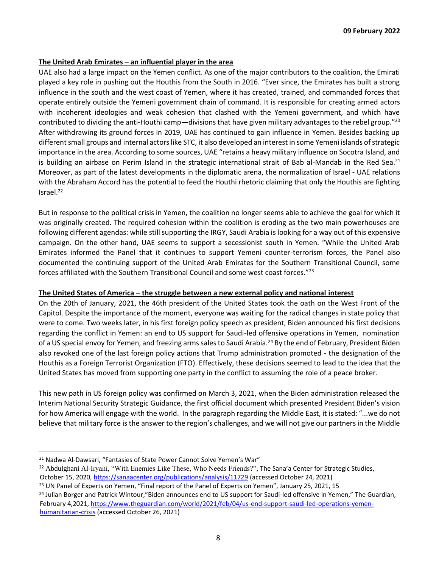#### **The United Arab Emirates – an influential player in the area**

UAE also had a large impact on the Yemen conflict. As one of the major contributors to the coalition, the Emirati played a key role in pushing out the Houthis from the South in 2016. "Ever since, the Emirates has built a strong influence in the south and the west coast of Yemen, where it has created, trained, and commanded forces that operate entirely outside the Yemeni government chain of command. It is responsible for creating armed actors with incoherent ideologies and weak cohesion that clashed with the Yemeni government, and which have contributed to dividing the anti-Houthi camp—divisions that have given military advantages to the rebel group."<sup>20</sup> After withdrawing its ground forces in 2019, UAE has continued to gain influence in Yemen. Besides backing up different small groups and internal actors like STC, it also developed an interest in some Yemeni islands of strategic importance in the area. According to some sources, UAE "retains a heavy military influence on Socotra Island, and is building an airbase on Perim Island in the strategic international strait of Bab al-Mandab in the Red Sea.<sup>21</sup> Moreover, as part of the latest developments in the diplomatic arena, the normalization of Israel - UAE relations with the Abraham Accord has the potential to feed the Houthi rhetoric claiming that only the Houthis are fighting Israel.<sup>22</sup>

But in response to the political crisis in Yemen, the coalition no longer seems able to achieve the goal for which it was originally created. The required cohesion within the coalition is eroding as the two main powerhouses are following different agendas: while still supporting the IRGY, Saudi Arabia is looking for a way out of this expensive campaign. On the other hand, UAE seems to support a secessionist south in Yemen. "While the United Arab Emirates informed the Panel that it continues to support Yemeni counter-terrorism forces, the Panel also documented the continuing support of the United Arab Emirates for the Southern Transitional Council, some forces affiliated with the Southern Transitional Council and some west coast forces."<sup>23</sup>

#### **The United States of America – the struggle between a new external policy and national interest**

On the 20th of January, 2021, the 46th president of the United States took the oath on the West Front of the Capitol. Despite the importance of the moment, everyone was waiting for the radical changes in state policy that were to come. Two weeks later, in his first foreign policy speech as president, Biden announced his first decisions regarding the conflict in Yemen: an end to US support for Saudi-led offensive operations in Yemen, nomination of a US special envoy for Yemen, and freezing arms sales to Saudi Arabia.<sup>24</sup> By the end of February, President Biden also revoked one of the last foreign policy actions that Trump administration promoted - the designation of the Houthis as a Foreign Terrorist Organization (FTO). Effectively, these decisions seemed to lead to the idea that the United States has moved from supporting one party in the conflict to assuming the role of a peace broker.

This new path in US foreign policy was confirmed on March 3, 2021, when the Biden administration released the Interim National Security Strategic Guidance, the first official document which presented President Biden's vision for how America will engage with the world. In the paragraph regarding the Middle East, it is stated: "...we do not believe that military force is the answer to the region's challenges, and we will not give our partners in the Middle

<sup>&</sup>lt;sup>21</sup> Nadwa Al-Dawsari, "Fantasies of State Power Cannot Solve Yemen's War"

<sup>22</sup> Abdulghani Al-Iryani, "With Enemies Like These, Who Needs Friends?", The Sana'a Center for Strategic Studies, October 15, 2020, https://sanaacenter.org/publications/analysis/11729 (accessed October 24, 2021)

<sup>&</sup>lt;sup>23</sup> UN Panel of Experts on Yemen, "Final report of the Panel of Experts on Yemen", January 25, 2021, 15

<sup>&</sup>lt;sup>24</sup> Julian Borger and Patrick Wintour,"Biden announces end to US support for Saudi-led offensive in Yemen," The Guardian, February 4,2021, https://www.theguardian.com/world/2021/feb/04/us-end-support-saudi-led-operations-yemenhumanitarian-crisis (accessed October 26, 2021)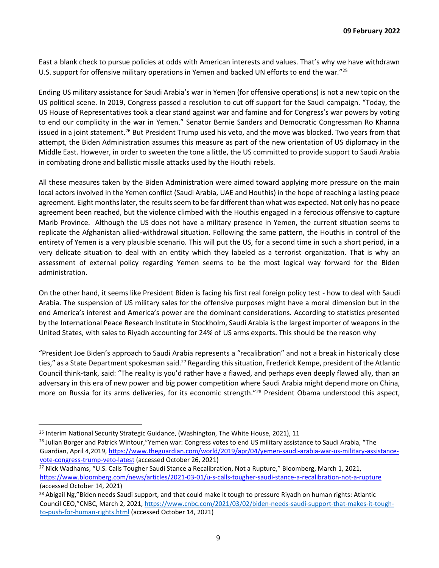East a blank check to pursue policies at odds with American interests and values. That's why we have withdrawn U.S. support for offensive military operations in Yemen and backed UN efforts to end the war."<sup>25</sup>

Ending US military assistance for Saudi Arabia's war in Yemen (for offensive operations) is not a new topic on the US political scene. In 2019, Congress passed a resolution to cut off support for the Saudi campaign. "Today, the US House of Representatives took a clear stand against war and famine and for Congress's war powers by voting to end our complicity in the war in Yemen." Senator Bernie Sanders and Democratic Congressman Ro Khanna issued in a joint statement.<sup>26</sup> But President Trump used his veto, and the move was blocked. Two years from that attempt, the Biden Administration assumes this measure as part of the new orientation of US diplomacy in the Middle East. However, in order to sweeten the tone a little, the US committed to provide support to Saudi Arabia in combating drone and ballistic missile attacks used by the Houthi rebels.

All these measures taken by the Biden Administration were aimed toward applying more pressure on the main local actors involved in the Yemen conflict (Saudi Arabia, UAE and Houthis) in the hope of reaching a lasting peace agreement. Eight months later, the results seem to be far different than what was expected. Not only has no peace agreement been reached, but the violence climbed with the Houthis engaged in a ferocious offensive to capture Marib Province. Although the US does not have a military presence in Yemen, the current situation seems to replicate the Afghanistan allied-withdrawal situation. Following the same pattern, the Houthis in control of the entirety of Yemen is a very plausible scenario. This will put the US, for a second time in such a short period, in a very delicate situation to deal with an entity which they labeled as a terrorist organization. That is why an assessment of external policy regarding Yemen seems to be the most logical way forward for the Biden administration.

On the other hand, it seems like President Biden is facing his first real foreign policy test - how to deal with Saudi Arabia. The suspension of US military sales for the offensive purposes might have a moral dimension but in the end America's interest and America's power are the dominant considerations. According to statistics presented by the International Peace Research Institute in Stockholm, Saudi Arabia is the largest importer of weapons in the United States, with sales to Riyadh accounting for 24% of US arms exports. This should be the reason why

"President Joe Biden's approach to Saudi Arabia represents a "recalibration" and not a break in historically close ties," as a State Department spokesman said.<sup>27</sup> Regarding this situation, Frederick Kempe, president of the Atlantic Council think-tank, said: "The reality is you'd rather have a flawed, and perhaps even deeply flawed ally, than an adversary in this era of new power and big power competition where Saudi Arabia might depend more on China, more on Russia for its arms deliveries, for its economic strength."<sup>28</sup> President Obama understood this aspect,

 $25$  Interim National Security Strategic Guidance, (Washington, The White House, 2021), 11

<sup>&</sup>lt;sup>26</sup> Julian Borger and Patrick Wintour,"Yemen war: Congress votes to end US military assistance to Saudi Arabia, "The Guardian, April 4,2019, https://www.theguardian.com/world/2019/apr/04/yemen-saudi-arabia-war-us-military-assistancevote-congress-trump-veto-latest (accessed October 26, 2021)

<sup>&</sup>lt;sup>27</sup> Nick Wadhams, "U.S. Calls Tougher Saudi Stance a Recalibration, Not a Rupture," Bloomberg, March 1, 2021, https://www.bloomberg.com/news/articles/2021-03-01/u-s-calls-tougher-saudi-stance-a-recalibration-not-a-rupture (accessed October 14, 2021)

 $^{28}$  Abigail Ng,"Biden needs Saudi support, and that could make it tough to pressure Riyadh on human rights: Atlantic Council CEO,"CNBC, March 2, 2021, [https://www.cnbc.com/2021/03/02/biden-needs-saudi-support-that-makes-it-tough](https://www.cnbc.com/2021/03/02/biden-needs-saudi-support-that-makes-it-tough-to-push-for-human-rights.html)[to-push-for-human-rights.html](https://www.cnbc.com/2021/03/02/biden-needs-saudi-support-that-makes-it-tough-to-push-for-human-rights.html) (accessed October 14, 2021)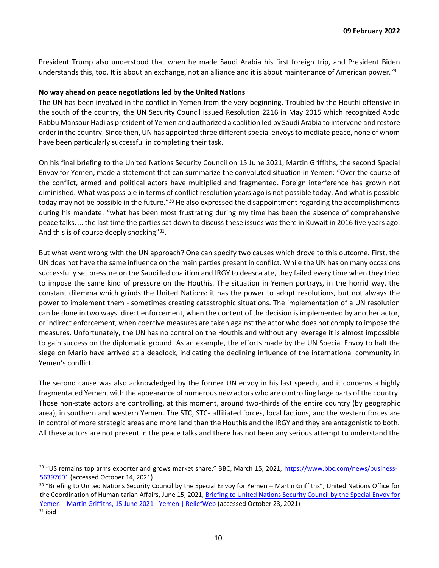President Trump also understood that when he made Saudi Arabia his first foreign trip, and President Biden understands this, too. It is about an exchange, not an alliance and it is about maintenance of American power.<sup>29</sup>

#### **No way ahead on peace negotiations led by the United Nations**

The UN has been involved in the conflict in Yemen from the very beginning. Troubled by the Houthi offensive in the south of the country, the UN Security Council issued Resolution 2216 in May 2015 which recognized Abdo Rabbu Mansour Hadi as president of Yemen and authorized a coalition led by Saudi Arabia to intervene and restore order in the country. Since then, UN has appointed three different special envoys to mediate peace, none of whom have been particularly successful in completing their task.

On his final briefing to the United Nations Security Council on 15 June 2021, Martin Griffiths, the second Special Envoy for Yemen, made a statement that can summarize the convoluted situation in Yemen: "Over the course of the conflict, armed and political actors have multiplied and fragmented. Foreign interference has grown not diminished. What was possible in terms of conflict resolution years ago is not possible today. And what is possible today may not be possible in the future."<sup>30</sup> He also expressed the disappointment regarding the accomplishments during his mandate: "what has been most frustrating during my time has been the absence of comprehensive peace talks. … the last time the parties sat down to discuss these issues was there in Kuwait in 2016 five years ago. And this is of course deeply shocking"<sup>31</sup>.

But what went wrong with the UN approach? One can specify two causes which drove to this outcome. First, the UN does not have the same influence on the main parties present in conflict. While the UN has on many occasions successfully set pressure on the Saudi led coalition and IRGY to deescalate, they failed every time when they tried to impose the same kind of pressure on the Houthis. The situation in Yemen portrays, in the horrid way, the constant dilemma which grinds the United Nations: it has the power to adopt resolutions, but not always the power to implement them - sometimes creating catastrophic situations. The implementation of a UN resolution can be done in two ways: direct enforcement, when the content of the decision is implemented by another actor, or indirect enforcement, when coercive measures are taken against the actor who does not comply to impose the measures. Unfortunately, the UN has no control on the Houthis and without any leverage it is almost impossible to gain success on the diplomatic ground. As an example, the efforts made by the UN Special Envoy to halt the siege on Marib have arrived at a deadlock, indicating the declining influence of the international community in Yemen's conflict.

The second cause was also acknowledged by the former UN envoy in his last speech, and it concerns a highly fragmentated Yemen, with the appearance of numerous new actors who are controlling large parts of the country. Those non-state actors are controlling, at this moment, around two-thirds of the entire country (by geographic area), in southern and western Yemen. The STC, STC- affiliated forces, local factions, and the western forces are in control of more strategic areas and more land than the Houthis and the IRGY and they are antagonistic to both. All these actors are not present in the peace talks and there has not been any serious attempt to understand the

<sup>&</sup>lt;sup>29</sup> "US remains top arms exporter and grows market share," BBC, March 15, 2021, https://www.bbc.com/news/business-56397601 (accessed October 14, 2021)

<sup>&</sup>lt;sup>30</sup> "Briefing to United Nations Security Council by the Special Envoy for Yemen – Martin Griffiths", United Nations Office for the Coordination of Humanitarian Affairs, June 15, 2021, Briefing to United Nations Security Council by the Special Envoy for Yemen – Martin Griffiths, 15 June 2021 - Yemen | ReliefWeb (accessed October 23, 2021)

 $31$  ibid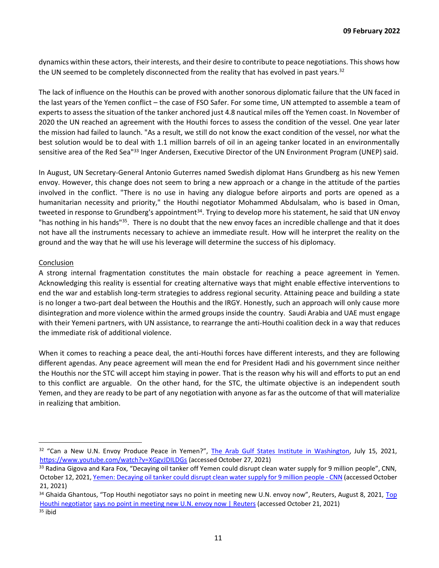dynamics within these actors, their interests, and their desire to contribute to peace negotiations. This shows how the UN seemed to be completely disconnected from the reality that has evolved in past years.<sup>32</sup>

The lack of influence on the Houthis can be proved with another sonorous diplomatic failure that the UN faced in the last years of the Yemen conflict – the case of FSO Safer. For some time, UN attempted to assemble a team of experts to assess the situation of the tanker anchored just 4.8 nautical miles off the Yemen coast. In November of 2020 the UN reached an agreement with the Houthi forces to assess the condition of the vessel. One year later the mission had failed to launch. "As a result, we still do not know the exact condition of the vessel, nor what the best solution would be to deal with 1.1 million barrels of oil in an ageing tanker located in an environmentally sensitive area of the Red Sea"<sup>33</sup> Inger Andersen, Executive Director of the UN Environment Program (UNEP) said.

In August, UN Secretary-General Antonio Guterres named Swedish diplomat Hans Grundberg as his new Yemen envoy. However, this change does not seem to bring a new approach or a change in the attitude of the parties involved in the conflict. "There is no use in having any dialogue before airports and ports are opened as a humanitarian necessity and priority," the Houthi negotiator Mohammed Abdulsalam, who is based in Oman, tweeted in response to Grundberg's appointment<sup>34</sup>. Trying to develop more his statement, he said that UN envoy "has nothing in his hands"<sup>35</sup>. There is no doubt that the new envoy faces an incredible challenge and that it does not have all the instruments necessary to achieve an immediate result. How will he interpret the reality on the ground and the way that he will use his leverage will determine the success of his diplomacy.

## Conclusion

A strong internal fragmentation constitutes the main obstacle for reaching a peace agreement in Yemen. Acknowledging this reality is essential for creating alternative ways that might enable effective interventions to end the war and establish long-term strategies to address regional security. Attaining peace and building a state is no longer a two-part deal between the Houthis and the IRGY. Honestly, such an approach will only cause more disintegration and more violence within the armed groups inside the country. Saudi Arabia and UAE must engage with their Yemeni partners, with UN assistance, to rearrange the anti-Houthi coalition deck in a way that reduces the immediate risk of additional violence.

When it comes to reaching a peace deal, the anti-Houthi forces have different interests, and they are following different agendas. Any peace agreement will mean the end for President Hadi and his government since neither the Houthis nor the STC will accept him staying in power. That is the reason why his will and efforts to put an end to this conflict are arguable. On the other hand, for the STC, the ultimate objective is an independent south Yemen, and they are ready to be part of any negotiation with anyone as far as the outcome of that will materialize in realizing that ambition.

<sup>&</sup>lt;sup>32</sup> "Can a New U.N. Envoy Produce Peace in Yemen?", The Arab Gulf States Institute in Washington, July 15, 2021, https://www.youtube.com/watch?v=XGgvJDILDGs (accessed October 27, 2021)

<sup>&</sup>lt;sup>33</sup> Radina Gigova and Kara Fox, "Decaying oil tanker off Yemen could disrupt clean water supply for 9 million people", CNN, October 12, 2021, Yemen: Decaying oil tanker could disrupt clean water supply for 9 million people - CNN (accessed October 21, 2021)

<sup>34</sup> Ghaida Ghantous, "Top Houthi negotiator says no point in meeting new U.N. envoy now", Reuters, August 8, 2021, Top Houthi negotiator says no point in meeting new U.N. envoy now | Reuters (accessed October 21, 2021) <sup>35</sup> ibid